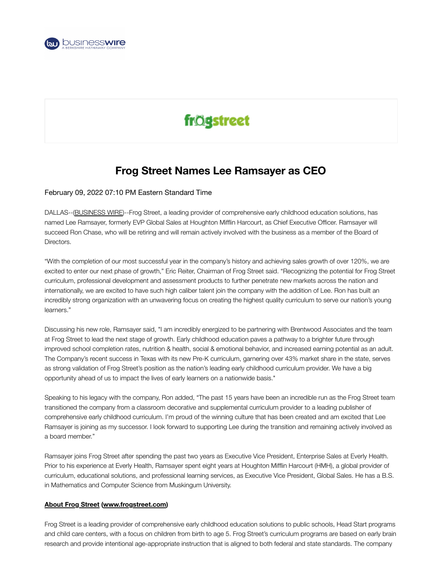

## frögstreet

## **Frog Street Names Lee Ramsayer as CEO**

## February 09, 2022 07:10 PM Eastern Standard Time

DALLAS--([BUSINESS](https://www.businesswire.com/) WIRE)--Frog Street, a leading provider of comprehensive early childhood education solutions, has named Lee Ramsayer, formerly EVP Global Sales at Houghton Mifflin Harcourt, as Chief Executive Officer. Ramsayer will succeed Ron Chase, who will be retiring and will remain actively involved with the business as a member of the Board of Directors.

"With the completion of our most successful year in the company's history and achieving sales growth of over 120%, we are excited to enter our next phase of growth," Eric Reiter, Chairman of Frog Street said. "Recognizing the potential for Frog Street curriculum, professional development and assessment products to further penetrate new markets across the nation and internationally, we are excited to have such high caliber talent join the company with the addition of Lee. Ron has built an incredibly strong organization with an unwavering focus on creating the highest quality curriculum to serve our nation's young learners."

Discussing his new role, Ramsayer said, "I am incredibly energized to be partnering with Brentwood Associates and the team at Frog Street to lead the next stage of growth. Early childhood education paves a pathway to a brighter future through improved school completion rates, nutrition & health, social & emotional behavior, and increased earning potential as an adult. The Company's recent success in Texas with its new Pre-K curriculum, garnering over 43% market share in the state, serves as strong validation of Frog Street's position as the nation's leading early childhood curriculum provider. We have a big opportunity ahead of us to impact the lives of early learners on a nationwide basis."

Speaking to his legacy with the company, Ron added, "The past 15 years have been an incredible run as the Frog Street team transitioned the company from a classroom decorative and supplemental curriculum provider to a leading publisher of comprehensive early childhood curriculum. I'm proud of the winning culture that has been created and am excited that Lee Ramsayer is joining as my successor. I look forward to supporting Lee during the transition and remaining actively involved as a board member."

Ramsayer joins Frog Street after spending the past two years as Executive Vice President, Enterprise Sales at Everly Health. Prior to his experience at Everly Health, Ramsayer spent eight years at Houghton Mifflin Harcourt (HMH), a global provider of curriculum, educational solutions, and professional learning services, as Executive Vice President, Global Sales. He has a B.S. in Mathematics and Computer Science from Muskingum University.

## **About Frog Street [\(www.frogstreet.com\)](https://cts.businesswire.com/ct/CT?id=smartlink&url=https%3A%2F%2Fwww.frogstreet.com%2F&esheet=52577260&newsitemid=20220209006201&lan=en-US&anchor=www.frogstreet.com&index=1&md5=fddbaa6b2f619b9d042952f7d15f59f8)**

Frog Street is a leading provider of comprehensive early childhood education solutions to public schools, Head Start programs and child care centers, with a focus on children from birth to age 5. Frog Street's curriculum programs are based on early brain research and provide intentional age-appropriate instruction that is aligned to both federal and state standards. The company